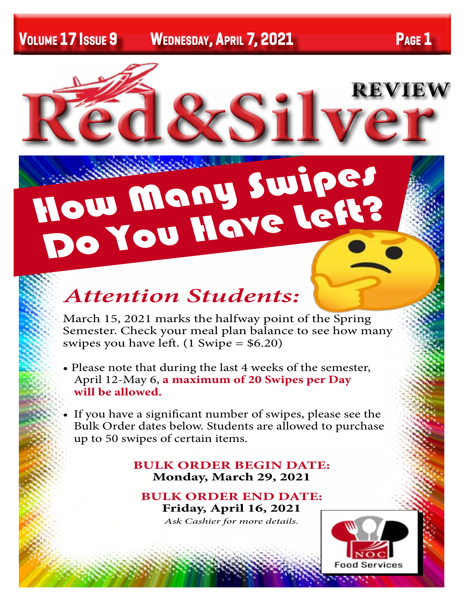

# *Attention Students:*

How Many Swipes

Do You Have Left?

March 15, 2021 marks the halfway point of the Spring Semester. Check your meal plan balance to see how many swipes you have left.  $(1 \text{ Swing} = $6.20)$ 

- Please note that during the last 4 weeks of the semester, April 12-May 6, **a maximum of 20 Swipes per Day will be allowed.**
- If you have a significant number of swipes, please see the Bulk Order dates below. Students are allowed to purchase up to 50 swipes of certain items.

### **BULK ORDER BEGIN DATE: Monday, March 29, 2021**

**BULK ORDER END DATE: Friday, April 16, 2021** *Ask Cashier for more details.*

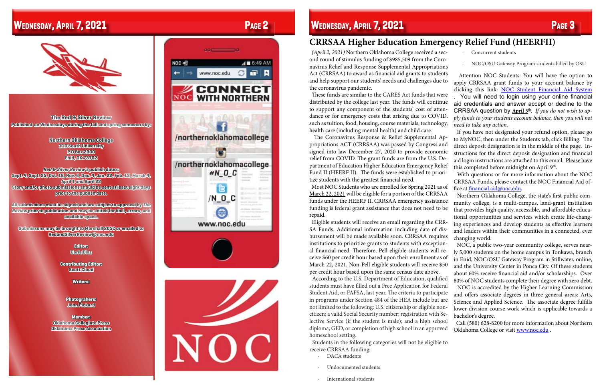**The Red & Silver Review Published on Wednesdays during the fall and spring semesters by:**

> **Northern Oklahoma College 110 South University P.O Box 2300 Enid, OK 73702**

**Red & Silver Review's publish dates: Sept. 4, Sept. 25, Oct. 16, Nov. 6, Dec. 4, Jan. 22, Feb. 12, March 4, April 1 and April 22 Story and/or photo submissions should be sent at least eight days prior to the publish date.**

**All submissions must be signed and are subject to approval by The Review prior to publication and may be edited for libel, errors, and available space.**

**Submissons may be brought to Marshall 205C or emailed to RedandSilverReview@noc.edu**

> **Editor: Carla Diaz**

**Contributing Editor: Scott Cloud**

**Writers:**

**Photograhers: John Pickard**

**Member: Oklahoma Collegiate Press Oklahoma Press Association**

# $\triangleleft$  6:49 AM NOC 4  $\mathbf{F}$ www.noc.edu G **CONNECT** NOC **WITH NORTHERN** /northernoklahomacollege o /northernoklahomacollege  $AN$ <sub>C</sub> G  $/N$   $0$   $C$ 0 www.noc.edu

### **Wednesday, April 7, 2021 Page 2 Wednesday, April 7, 2021 Page 3**



### **CRRSAA Higher Education Emergency Relief Fund (HEERFII)**

These funds are similar to the CARES Act funds that were

ond round of stimulus funding of \$985,509 from the Coronavirus Relief and Response Supplemental Appropriations Act (CRRSAA) to award as financial aid grants to students and help support our students' needs and challenges due to the coronavirus pandemic. distributed by the college last year. The funds will continue to support any component of the students' cost of attendance or for emergency costs that arising due to COVID, such as tuition, food, housing, course materials, technology, health care (including mental health) and child care. propriations ACT (CRRSAA) was passed by Congress and signed into law December 27, 2020 to provide economic relief from COVID. The grant funds are from the U.S. Department of Education Higher Education Emergency Relief Fund II (HEERF II). The funds were established to prioritize students with the greatest financial need. Most NOC Students who are enrolled for Spring 2021 as of March 22, 2021 will be eligible for a portion of the CRRSAA funds under the HEERF II. CRRSAA emergency assistance funding is federal grant assistance that does not need to be repaid. Eligible students will receive an email regarding the CRR-SA Funds. Additional information including date of disbursement will be made available soon. CRRSAA requires institutions to prioritize grants to students with exceptional financial need. Therefore, Pell eligible students will receive \$60 per credit hour based upon their enrollment as of March 22, 2021. Non-Pell eligible students will receive \$50 per credit hour based upon the same census date above.

 *(April 2, 2021)* Northern Oklahoma College received a sec- The Coronavirus Response & Relief Supplemental Ap-Concurrent students · NOC/OSU Gateway Program students billed by OSU Attention NOC Students: You will have the option to apply CRRSAA grant funds to your account balance by clicking this link: [NOC Student Financial Aid System](https://financialaid.noc.edu/netpartnerstudent/logon.aspx) . You will need to login using your online financial aid credentials and answer accept or decline to the CRRSAA question by **April**  $5<sup>th</sup>$ . If you do not wish to ap*ply funds to your students account balance, then you will not need to take any action.*  If you have not designated your refund option, please go to MyNOC, then under the Students tab, click Billing. The direct deposit designation is in the middle of the page. Instructions for the direct deposit designation and financial aid login instructions are attached to this email. Please have this completed before midnight on April  $9<sup>th</sup>$ . With questions or for more information about the NOC CRRSAA Funds, please contact the NOC Financial Aid office at [financial.aid@noc.edu.](mailto:financial.aid@noc.edu) Northern Oklahoma College, the state's first public community college, is a multi-campus, land-grant institution that provides high quality, accessible, and affordable educational opportunities and services which create life-changing experiences and develop students as effective learners and leaders within their communities in a connected, ever changing world. NOC, a public two-year community college, serves nearly 5,000 students on the home campus in Tonkawa, branch in Enid, NOC/OSU Gateway Program in Stillwater, online, and the University Center in Ponca City. Of these students about 60% receive financial aid and/or scholarships. Over

 Students in the following categories will not be eligible to receive CRRSAA funding:

- DACA students
- Undocumented students
- International students

 According to the U.S. Department of Education, qualified students must have filled out a Free Application for Federal Student Aid, or FAFSA, last year. The criteria to participate in programs under Section 484 of the HEA include but are not limited to the following: U.S. citizenship or eligible noncitizen; a valid Social Security number; registration with Selective Service (if the student is male); and a high school diploma, GED, or completion of high school in an approved homeschool setting. 80% of NOC students complete their degree with zero debt. NOC is accredited by the Higher Learning Commission and offers associate degrees in three general areas: Arts, Science and Applied Science. The associate degree fulfills lower-division course work which is applicable towards a bachelor's degree. Call (580) 628-6200 for more information about Northern Oklahoma College or visit [www.noc.edu](http://www.noc.edu) .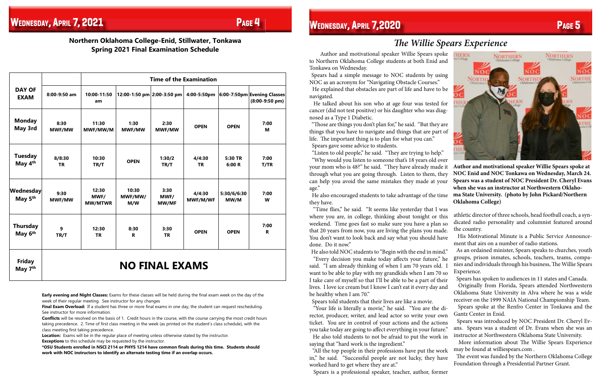**Northern Oklahoma College-Enid, Stillwater, Tonkawa Spring 2021 Final Examination Schedule**

|                                       |                       | <b>Time of the Examination</b>  |                            |                              |                     |                     |                                                             |
|---------------------------------------|-----------------------|---------------------------------|----------------------------|------------------------------|---------------------|---------------------|-------------------------------------------------------------|
| <b>DAY OF</b><br><b>EXAM</b>          | 8:00-9:50 am          | 10:00-11:50<br>am               | 12:00-1:50 pm 2:00-3:50 pm |                              |                     |                     | 4:00-5:50pm 6:00-7:50pm Evening Classes<br>$(8:00-9:50$ pm) |
| <b>Monday</b><br>May 3rd              | 8:30<br><b>MWF/MW</b> | 11:30<br>MWF/MW/M               | 1:30<br><b>MWF/MW</b>      | 2:30<br><b>MWF/MW</b>        | <b>OPEN</b>         | <b>OPEN</b>         | 7:00<br>М                                                   |
| <b>Tuesday</b><br>May 4 <sup>th</sup> | 8/8:30<br><b>TR</b>   | 10:30<br>TR/T                   | <b>OPEN</b>                | 1:30/2<br>TR/T               | 4/4:30<br><b>TR</b> | 5:30 TR<br>6:00 R   | 7:00<br>T/TR                                                |
| Wednesday<br>May 5 <sup>th</sup>      | 9:30<br><b>MWF/MW</b> | 12:30<br>MWF/<br><b>MW/MTWR</b> | 10:30<br>MWF/MW/<br>M/W    | 3:30<br>MWF/<br><b>MW/MF</b> | 4/4:30<br>MWF/M/WF  | 5:30/6/6:30<br>MW/M | 7:00<br>W                                                   |
| <b>Thursday</b><br>May 6th            | 9<br>TR/T             | 12:30<br><b>TR</b>              | 8:30<br>$\mathbf R$        | 3:30<br><b>TR</b>            | <b>OPEN</b>         | <b>OPEN</b>         | 7:00<br>R.                                                  |
| <b>Friday</b><br>May 7 <sup>th</sup>  | <b>NO FINAL EXAMS</b> |                                 |                            |                              |                     |                     |                                                             |

**Location:** Exams will be in the regular place of meeting unless otherwise stated by the instructor. **Exceptions** to this schedule may be requested by the instructor.

**Early evening and Night Classes:** Exams for these classes will be held during the final exam week on the day of the week of their regular meeting. See instructor for any changes

**Final Exam Overload:** If a student has three or more final exams in one day, the student can request rescheduling. See instructor for more information.

**Conflicts** will be resolved on the basis of 1. Credit hours in the course, with the course carrying the most credit hours taking precedence. 2. Time of first class meeting in the week (as printed on the student's class schedule), with the class meeting first taking precedence.

**\*OSU Students enrolled in NSCI 2114 or PHYS 1214 have common finals during this time. Students should work with NOC instructors to identify an alternate testing time if an overlap occurs.**

 Author and motivational speaker Willie Spears spoke to Northern Oklahoma College students at both Enid and Tonkawa on Wednesday.

 Spears had a simple message to NOC students by using NOC as an acronym for "Navigating Obstacle Courses."

 He explained that obstacles are part of life and have to be navigated.

 He talked about his son who at age four was tested for cancer (did not test positive) or his daughter who was diagnosed as a Type 1 Diabetic.

 "Those are things you don't plan for," he said. "But they are things that you have to navigate and things that are part of life. The important thing is to plan for what you can." Spears gave some advice to students.

 "Listen to old people," he said. "They are trying to help." "Why would you listen to someone that's 18 years old over

 "Time flies," he said. "It seems like yesterday that I was where you are, in college, thinking about tonight or this weekend. Time goes fast so make sure you have a plan so that 20 years from now, you are living the plans you made. You don't want to look back and say what you should have done. Do it now."

your mom who is 48?" he said. "They have already made it through what you are going through. Listen to them, they can help you avoid the same mistakes they made at your age." He also encouraged students to take advantage of the time they have. **Author and motivational speaker Willie Spears spoke at NOC Enid and NOC Tonkawa on Wednesday, March 24. Spears was a student of NOC President Dr. Cheryl Evans when she was an instructor at Northwestern Oklahoma State University. (photo by John Pickard/Northern Oklahoma College)**

 "Every decision you make today affects your future," he As an ordained minister, Spears speaks to churches, youth groups, prison inmates, schools, teachers, teams, companies and individuals through his business, The Willie Spears Experience.

Spears is a professional speaker, teacher, author, former

 He also told NOC students to "Begin with the end in mind." said. "I am already thinking of when I am 70 years old. I want to be able to play with my grandkids when I am 70 so I take care of myself so that I'll be able to be a part of their lives. I love ice cream but I know I can't eat it every day and be healthy when I am 70." Spears told students that their lives are like a movie. Spears has spoken to audiences in 11 states and Canada. Originally from Florida, Spears attended Northwestern Oklahoma State University in Alva where he was a wide receiver on the 1999 NAIA National Championship Team.

**HERN NORTHERN NORTHERN**  $\overline{NOC}$ 

### *The Willie Spears Experience*

 "Your life is literally a movie," he said. "You are the director, producer, writer, and lead actor so write your own ticket. You are in control of your actions and the actions you take today are going to affect everything in your future." He also told students to not be afraid to put the work in Spears spoke at the Renfro Center in Tonkawa and the Gantz Center in Enid. Spears was introduced by NOC President Dr. Cheryl Evans. Spears was a student of Dr. Evans when she was an instructor at Northwestern Oklahoma State University.

athletic director of three schools, head football coach, a syndicated radio personality and columnist featured around the country.

 His Motivational Minute is a Public Service Announcement that airs on a number of radio stations.

saying that "hard work is the ingredient." "All the top people in their professions have put the work More information about The Willie Spears Experience may be found at williespears.com .

in," he said. "Successful people are not lucky, they have worked hard to get where they are at." The event was funded by the Northern Oklahoma College Foundation through a Presidential Partner Grant.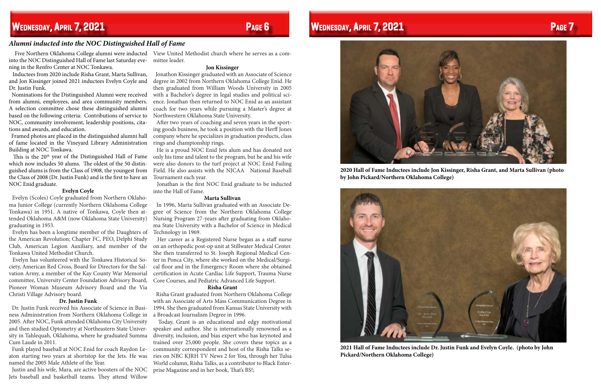### **Wednesday, April 7, 2021 Page 6 Wednesday, April 7, 2021 Page 7**

 Five Northern Oklahoma College alumni were inducted View United Methodist church where he serves as a cominto the NOC Distinguished Hall of Fame last Saturday evening in the Renfro Center at NOC Tonkawa.

 Inductees from 2020 include Risha Grant, Marta Sullivan, and Jon Kissinger joined 2021 inductees Evelyn Coyle and Dr. Justin Funk.

 Nominations for the Distinguished Alumni were received from alumni, employees, and area community members. A selection committee chose these distinguished alumni based on the following criteria: Contributions of service to NOC, community involvement, leadership positions, citations and awards, and education.

This is the  $20<sup>th</sup>$  year of the Distinguished Hall of Fame which now includes 50 alums. The oldest of the 50 distinguished alums is from the Class of 1908, the youngest from the Class of 2008 (Dr. Justin Funk) and is the first to have an NOC Enid graduate.

 Framed photos are placed in the distinguished alumni hall of fame located in the Vineyard Library Administration Building at NOC Tonkawa.

### **Evelyn Coyle**

 Evelyn (Scoles) Coyle graduated from Northern Oklahoma Junior College (currently Northern Oklahoma College Tonkawa) in 1951. A native of Tonkawa, Coyle then attended Oklahoma A&M (now Oklahoma State University) graduating in 1953.

 Evelyn has been a longtime member of the Daughters of the American Revolution; Chapter FC, PEO, Delphi Study Tonkawa United Methodist Church.

 Evelyn has volunteered with the Tonkawa Historical Society, American Red Cross, Board for Directors for the Salvation Army, a member of the Kay County War Memorial committee, University Center Foundation Advisory Board, Pioneer Woman Museum Advisory Board and the Via Christi Village Advisory board.

### **Dr. Justin Funk**

 Dr. Justin Funk received his Associate of Science in Business Administration from Northern Oklahoma College in 2005. After NOC, Funk attended Oklahoma City University and then studied Optometry at Northeastern State University in Tahlequah, Oklahoma, where he graduated Summa Cum Laude in 2011.

 Funk played baseball at NOC Enid for coach Raydon Leaton starting two years at shortstop for the Jets. He was named the 2005 Male Athlete of the Year.

 Justin and his wife, Mara, are active boosters of the NOC Jets baseball and basketball teams. They attend Willow

mittee leader.

### **Jon Kissinger**

 Jonathon Kissinger graduated with an Associate of Science degree in 2002 from Northern Oklahoma College Enid. He then graduated from William Woods University in 2005 with a Bachelor's degree in legal studies and political science. Jonathan then returned to NOC Enid as an assistant coach for two years while pursuing a Master's degree at Northwestern Oklahoma State University.

Club, American Legion Auxiliary, and member of the on an orthopedic post-op unit at Stillwater Medical Center. Her career as a Registered Nurse began as a staff nurse She then transferred to St. Joseph Regional Medical Center in Ponca City, where she worked on the Medical/Surgical floor and in the Emergency Room where she obtained certification in Acute Cardiac Life Support, Trauma Nurse Core Courses, and Pediatric Advanced Life Support.

 After two years of coaching and seven years in the sporting goods business, he took a position with the Herff Jones company where he specializes in graduation products, class rings and championship rings.

 He is a proud NOC Enid Jets alum and has donated not only his time and talent to the program, but he and his wife were also donors to the turf project at NOC Enid Failing Field. He also assists with the NJCAA National Baseball Tournament each year.

 Jonathan is the first NOC Enid graduate to be inducted into the Hall of Fame.

### **Marta Sullivan**

 In 1996, Marta Sullivan graduated with an Associate Degree of Science from the Northern Oklahoma College Nursing Program 27-years after graduating from Oklahoma State University with a Bachelor of Science in Medical Technology in 1969.

### **Risha Grant**

 Risha Grant graduated from Northern Oklahoma College with an Associate of Arts Mass Communication Degree in 1994. She then graduated from Kansas State University with a Broadcast Journalism Degree in 1996.

 Today, Grant is an educational and edgy motivational speaker and author. She is internationally renowned as a diversity, inclusion, and bias expert who has keynoted and trained over 25,000 people. She covers these topics as a community correspondent and host of the Risha Talks series on NBC KJRH TV News 2 for You, through her Tulsa World column, Risha Talks, as a contributor to Black Enterprise Magazine and in her book, That's BS!;

### *Alumni inducted into the NOC Distinguished Hall of Fame*



**2020 Hall of Fame Inductees include Jon Kissinger, Risha Grant, and Marta Sullivan (photo by John Pickard/Northern Oklahoma College)**



**2021 Hall of Fame Inductees include Dr. Justin Funk and Evelyn Coyle. (photo by John Pickard/Northern Oklahoma College)**